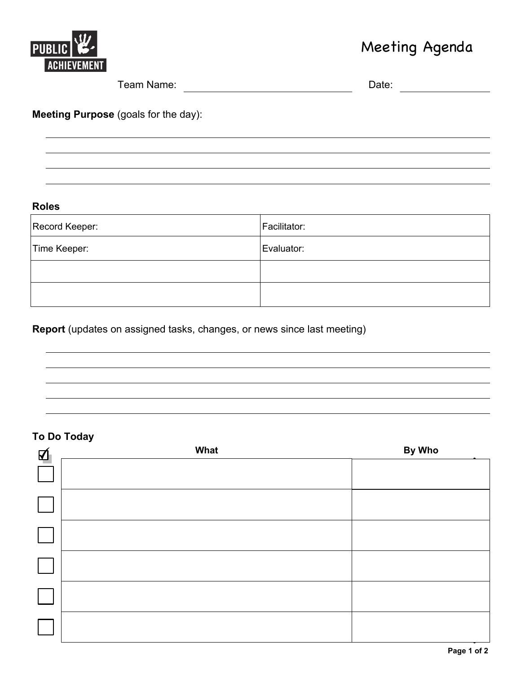

# Meeting Agenda

| Team Name:                                  | Date: |
|---------------------------------------------|-------|
| <b>Meeting Purpose (goals for the day):</b> |       |
|                                             |       |

#### **Rol es**

| Record Keeper: | Facilitator: |
|----------------|--------------|
| Time Keeper:   | Evaluator:   |
|                |              |
|                |              |

### **Report** (updates on assigned tasks, changes, or news since last meeting)

### **To Do Today**

| 囚 | What | By Who |
|---|------|--------|
|   |      |        |
|   |      |        |
|   |      |        |
|   |      |        |
|   |      |        |
|   |      |        |